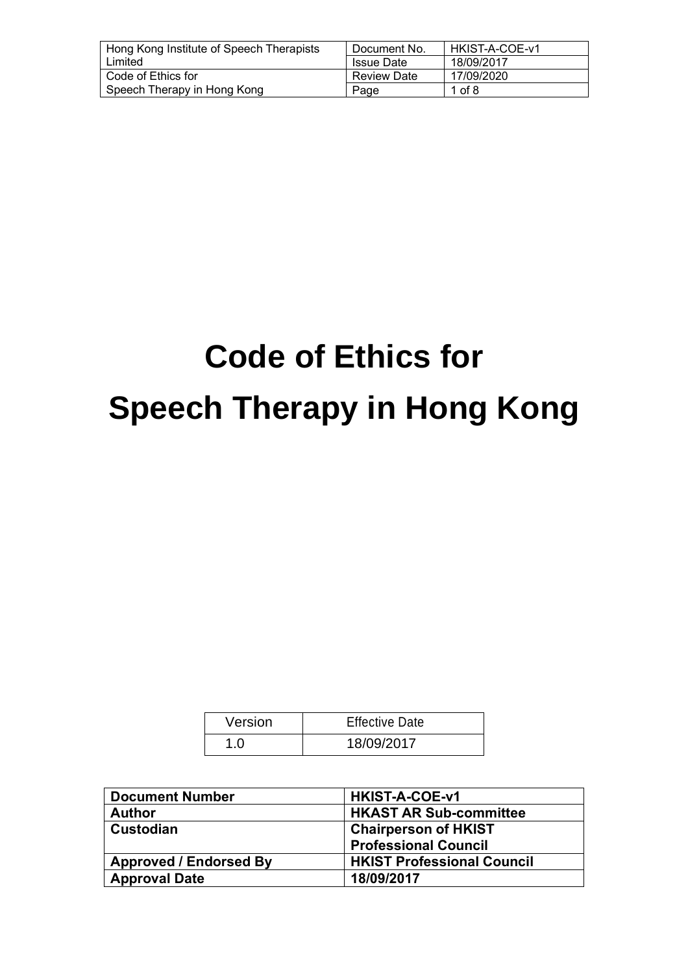| Hong Kong Institute of Speech Therapists | Document No.       | HKIST-A-COE-v1 |
|------------------------------------------|--------------------|----------------|
| Limited                                  | <b>Issue Date</b>  | 18/09/2017     |
| Code of Ethics for                       | <b>Review Date</b> | 17/09/2020     |
| Speech Therapy in Hong Kong              | Page               | 1 of 8         |

# **Code of Ethics for Speech Therapy in Hong Kong**

| Version | <b>Effective Date</b> |
|---------|-----------------------|
| 1.0     | 18/09/2017            |

| <b>Document Number</b>        | <b>HKIST-A-COE-v1</b>             |
|-------------------------------|-----------------------------------|
| <b>Author</b>                 | <b>HKAST AR Sub-committee</b>     |
| Custodian                     | <b>Chairperson of HKIST</b>       |
|                               | <b>Professional Council</b>       |
| <b>Approved / Endorsed By</b> | <b>HKIST Professional Council</b> |
| <b>Approval Date</b>          | 18/09/2017                        |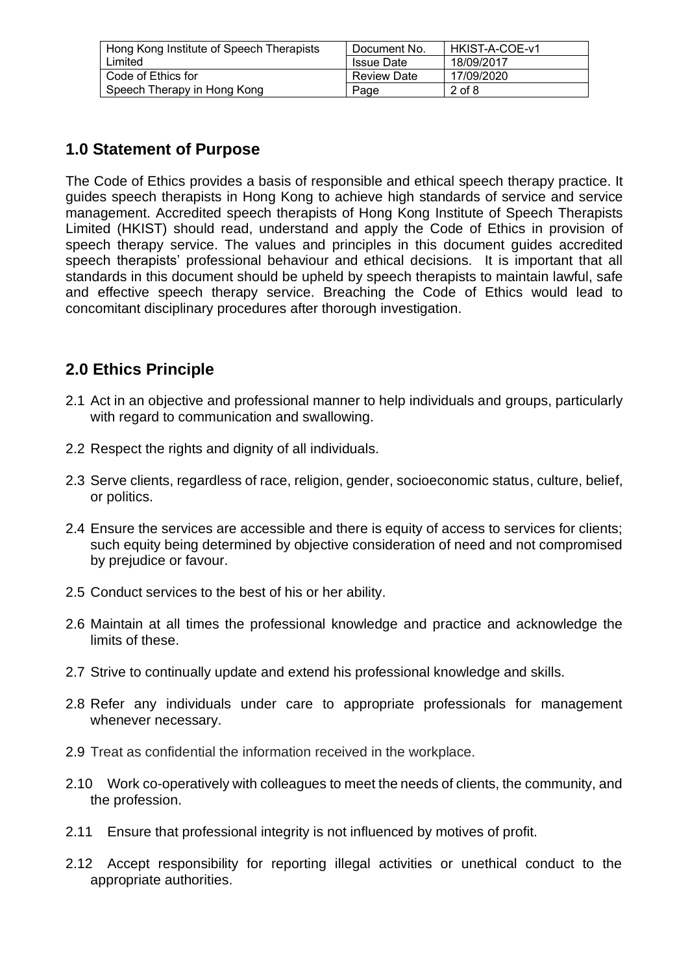| Hong Kong Institute of Speech Therapists | Document No.       | HKIST-A-COE-v1 |
|------------------------------------------|--------------------|----------------|
| Limited                                  | <b>Issue Date</b>  | 18/09/2017     |
| Code of Ethics for                       | <b>Review Date</b> | 17/09/2020     |
| Speech Therapy in Hong Kong              | Page               | 2 of 8         |

# **1.0 Statement of Purpose**

The Code of Ethics provides a basis of responsible and ethical speech therapy practice. It guides speech therapists in Hong Kong to achieve high standards of service and service management. Accredited speech therapists of Hong Kong Institute of Speech Therapists Limited (HKIST) should read, understand and apply the Code of Ethics in provision of speech therapy service. The values and principles in this document guides accredited speech therapists' professional behaviour and ethical decisions. It is important that all standards in this document should be upheld by speech therapists to maintain lawful, safe and effective speech therapy service. Breaching the Code of Ethics would lead to concomitant disciplinary procedures after thorough investigation.

# **2.0 Ethics Principle**

- 2.1 Act in an objective and professional manner to help individuals and groups, particularly with regard to communication and swallowing.
- 2.2 Respect the rights and dignity of all individuals.
- 2.3 Serve clients, regardless of race, religion, gender, socioeconomic status, culture, belief, or politics.
- 2.4 Ensure the services are accessible and there is equity of access to services for clients; such equity being determined by objective consideration of need and not compromised by prejudice or favour.
- 2.5 Conduct services to the best of his or her ability.
- 2.6 Maintain at all times the professional knowledge and practice and acknowledge the limits of these.
- 2.7 Strive to continually update and extend his professional knowledge and skills.
- 2.8 Refer any individuals under care to appropriate professionals for management whenever necessary.
- 2.9 Treat as confidential the information received in the workplace.
- 2.10 Work co-operatively with colleagues to meet the needs of clients, the community, and the profession.
- 2.11 Ensure that professional integrity is not influenced by motives of profit.
- 2.12 Accept responsibility for reporting illegal activities or unethical conduct to the appropriate authorities.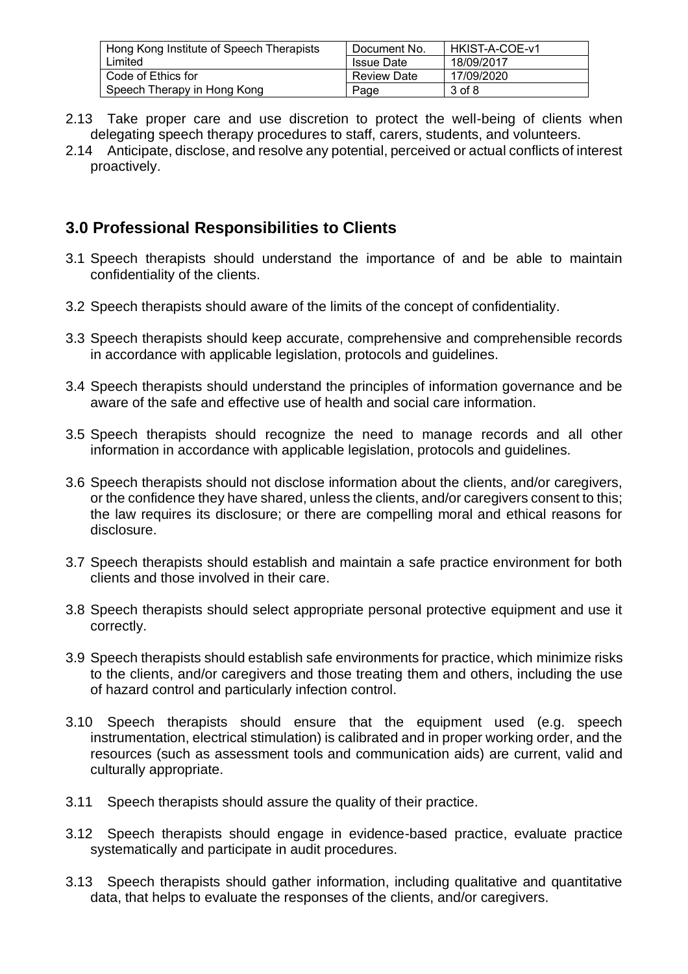| Hong Kong Institute of Speech Therapists | Document No.       | HKIST-A-COE-v1 |
|------------------------------------------|--------------------|----------------|
| Limited                                  | <b>Issue Date</b>  | 18/09/2017     |
| Code of Ethics for                       | <b>Review Date</b> | 17/09/2020     |
| Speech Therapy in Hong Kong              | Page               | 3 of 8         |

- 2.13 Take proper care and use discretion to protect the well-being of clients when delegating speech therapy procedures to staff, carers, students, and volunteers.
- 2.14 Anticipate, disclose, and resolve any potential, perceived or actual conflicts of interest proactively.

# **3.0 Professional Responsibilities to Clients**

- 3.1 Speech therapists should understand the importance of and be able to maintain confidentiality of the clients.
- 3.2 Speech therapists should aware of the limits of the concept of confidentiality.
- 3.3 Speech therapists should keep accurate, comprehensive and comprehensible records in accordance with applicable legislation, protocols and guidelines.
- 3.4 Speech therapists should understand the principles of information governance and be aware of the safe and effective use of health and social care information.
- 3.5 Speech therapists should recognize the need to manage records and all other information in accordance with applicable legislation, protocols and guidelines.
- 3.6 Speech therapists should not disclose information about the clients, and/or caregivers, or the confidence they have shared, unless the clients, and/or caregivers consent to this; the law requires its disclosure; or there are compelling moral and ethical reasons for disclosure.
- 3.7 Speech therapists should establish and maintain a safe practice environment for both clients and those involved in their care.
- 3.8 Speech therapists should select appropriate personal protective equipment and use it correctly.
- 3.9 Speech therapists should establish safe environments for practice, which minimize risks to the clients, and/or caregivers and those treating them and others, including the use of hazard control and particularly infection control.
- 3.10 Speech therapists should ensure that the equipment used (e.g. speech instrumentation, electrical stimulation) is calibrated and in proper working order, and the resources (such as assessment tools and communication aids) are current, valid and culturally appropriate.
- 3.11 Speech therapists should assure the quality of their practice.
- 3.12 Speech therapists should engage in evidence-based practice, evaluate practice systematically and participate in audit procedures.
- 3.13 Speech therapists should gather information, including qualitative and quantitative data, that helps to evaluate the responses of the clients, and/or caregivers.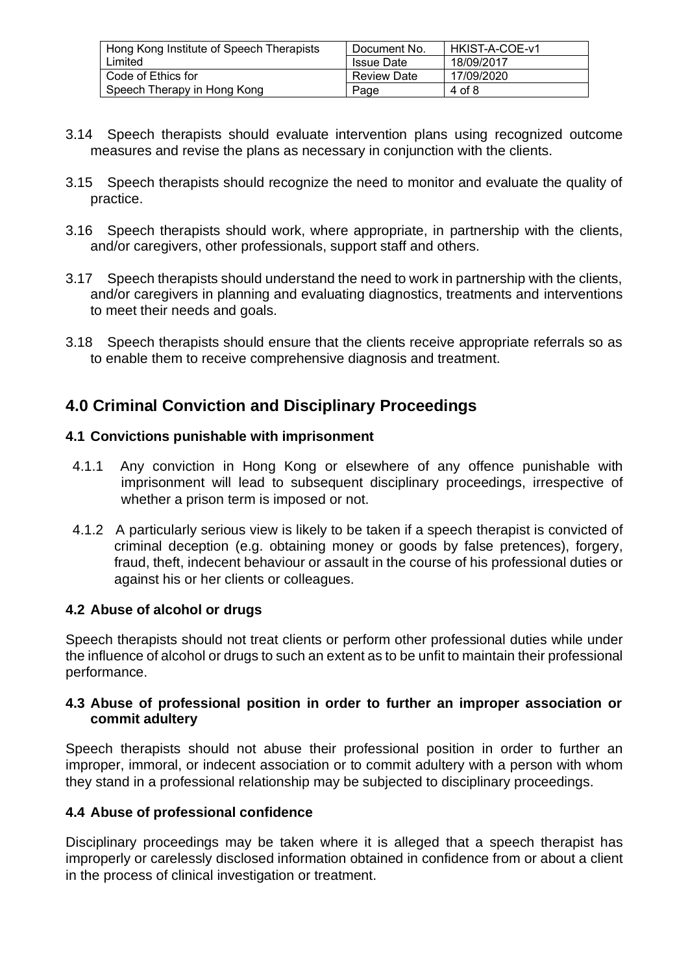| Hong Kong Institute of Speech Therapists | Document No.       | HKIST-A-COE-v1 |
|------------------------------------------|--------------------|----------------|
| Limited                                  | <b>Issue Date</b>  | 18/09/2017     |
| Code of Ethics for                       | <b>Review Date</b> | 17/09/2020     |
| Speech Therapy in Hong Kong              | Page               | 4 of 8         |

- 3.14 Speech therapists should evaluate intervention plans using recognized outcome measures and revise the plans as necessary in conjunction with the clients.
- 3.15 Speech therapists should recognize the need to monitor and evaluate the quality of practice.
- 3.16 Speech therapists should work, where appropriate, in partnership with the clients, and/or caregivers, other professionals, support staff and others.
- 3.17 Speech therapists should understand the need to work in partnership with the clients, and/or caregivers in planning and evaluating diagnostics, treatments and interventions to meet their needs and goals.
- 3.18 Speech therapists should ensure that the clients receive appropriate referrals so as to enable them to receive comprehensive diagnosis and treatment.

# **4.0 Criminal Conviction and Disciplinary Proceedings**

#### **4.1 Convictions punishable with imprisonment**

- 4.1.1 Any conviction in Hong Kong or elsewhere of any offence punishable with imprisonment will lead to subsequent disciplinary proceedings, irrespective of whether a prison term is imposed or not.
- 4.1.2 A particularly serious view is likely to be taken if a speech therapist is convicted of criminal deception (e.g. obtaining money or goods by false pretences), forgery, fraud, theft, indecent behaviour or assault in the course of his professional duties or against his or her clients or colleagues.

#### **4.2 Abuse of alcohol or drugs**

Speech therapists should not treat clients or perform other professional duties while under the influence of alcohol or drugs to such an extent as to be unfit to maintain their professional performance.

#### **4.3 Abuse of professional position in order to further an improper association or commit adultery**

Speech therapists should not abuse their professional position in order to further an improper, immoral, or indecent association or to commit adultery with a person with whom they stand in a professional relationship may be subjected to disciplinary proceedings.

#### **4.4 Abuse of professional confidence**

Disciplinary proceedings may be taken where it is alleged that a speech therapist has improperly or carelessly disclosed information obtained in confidence from or about a client in the process of clinical investigation or treatment.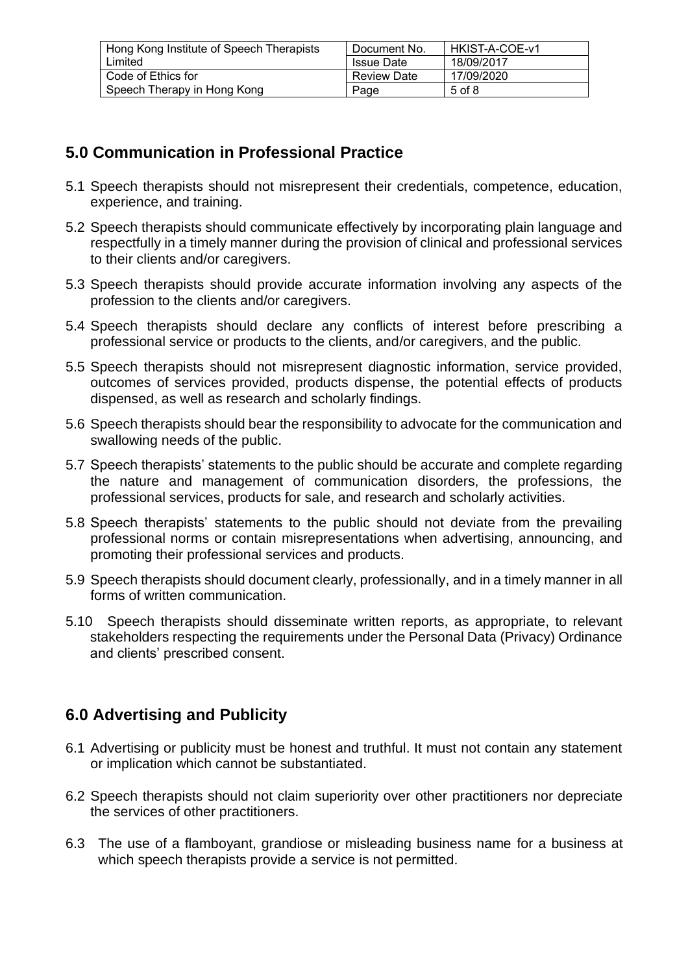| Hong Kong Institute of Speech Therapists | Document No.       | HKIST-A-COE-v1 |
|------------------------------------------|--------------------|----------------|
| Limited                                  | <b>Issue Date</b>  | 18/09/2017     |
| Code of Ethics for                       | <b>Review Date</b> | 17/09/2020     |
| Speech Therapy in Hong Kong              | Page               | 5 of 8         |

# **5.0 Communication in Professional Practice**

- 5.1 Speech therapists should not misrepresent their credentials, competence, education, experience, and training.
- 5.2 Speech therapists should communicate effectively by incorporating plain language and respectfully in a timely manner during the provision of clinical and professional services to their clients and/or caregivers.
- 5.3 Speech therapists should provide accurate information involving any aspects of the profession to the clients and/or caregivers.
- 5.4 Speech therapists should declare any conflicts of interest before prescribing a professional service or products to the clients, and/or caregivers, and the public.
- 5.5 Speech therapists should not misrepresent diagnostic information, service provided, outcomes of services provided, products dispense, the potential effects of products dispensed, as well as research and scholarly findings.
- 5.6 Speech therapists should bear the responsibility to advocate for the communication and swallowing needs of the public.
- 5.7 Speech therapists' statements to the public should be accurate and complete regarding the nature and management of communication disorders, the professions, the professional services, products for sale, and research and scholarly activities.
- 5.8 Speech therapists' statements to the public should not deviate from the prevailing professional norms or contain misrepresentations when advertising, announcing, and promoting their professional services and products.
- 5.9 Speech therapists should document clearly, professionally, and in a timely manner in all forms of written communication.
- 5.10 Speech therapists should disseminate written reports, as appropriate, to relevant stakeholders respecting the requirements under the Personal Data (Privacy) Ordinance and clients' prescribed consent.

# **6.0 Advertising and Publicity**

- 6.1 Advertising or publicity must be honest and truthful. It must not contain any statement or implication which cannot be substantiated.
- 6.2 Speech therapists should not claim superiority over other practitioners nor depreciate the services of other practitioners.
- 6.3 The use of a flamboyant, grandiose or misleading business name for a business at which speech therapists provide a service is not permitted.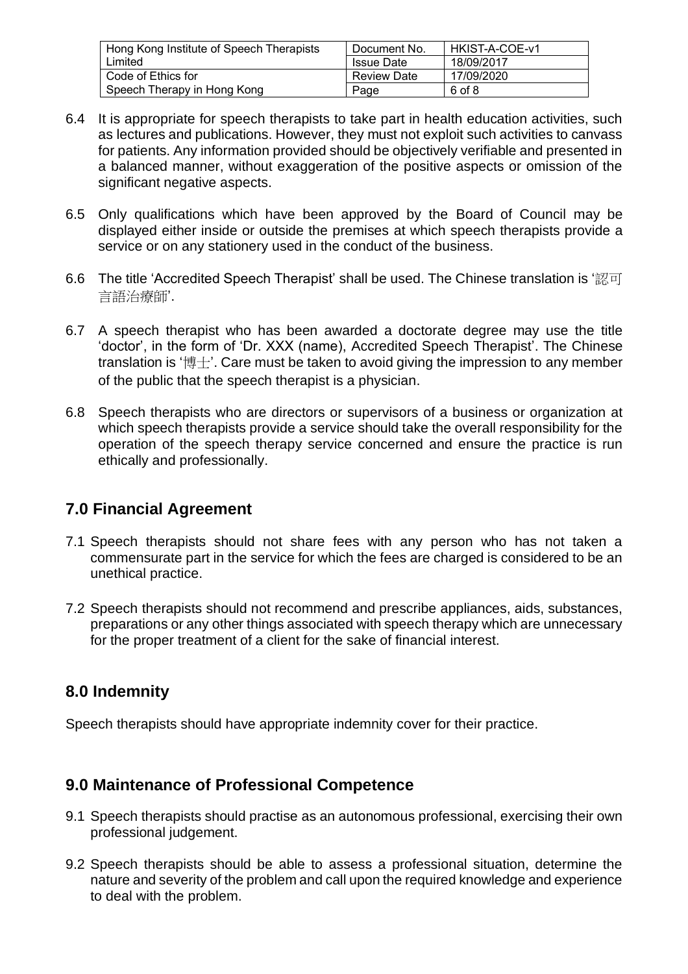| Hong Kong Institute of Speech Therapists | Document No.       | l HKIST-A-COE-v1 |
|------------------------------------------|--------------------|------------------|
| Limited                                  | <b>Issue Date</b>  | 18/09/2017       |
| Code of Ethics for                       | <b>Review Date</b> | 17/09/2020       |
| Speech Therapy in Hong Kong              | Page               | 6 of 8           |

- 6.4 It is appropriate for speech therapists to take part in health education activities, such as lectures and publications. However, they must not exploit such activities to canvass for patients. Any information provided should be objectively verifiable and presented in a balanced manner, without exaggeration of the positive aspects or omission of the significant negative aspects.
- 6.5 Only qualifications which have been approved by the Board of Council may be displayed either inside or outside the premises at which speech therapists provide a service or on any stationery used in the conduct of the business.
- 6.6 The title 'Accredited Speech Therapist' shall be used. The Chinese translation is '認可 言語治療師'.
- 6.7 A speech therapist who has been awarded a doctorate degree may use the title 'doctor', in the form of 'Dr. XXX (name), Accredited Speech Therapist'. The Chinese translation is '博士'. Care must be taken to avoid giving the impression to any member of the public that the speech therapist is a physician.
- 6.8 Speech therapists who are directors or supervisors of a business or organization at which speech therapists provide a service should take the overall responsibility for the operation of the speech therapy service concerned and ensure the practice is run ethically and professionally.

## **7.0 Financial Agreement**

- 7.1 Speech therapists should not share fees with any person who has not taken a commensurate part in the service for which the fees are charged is considered to be an unethical practice.
- 7.2 Speech therapists should not recommend and prescribe appliances, aids, substances, preparations or any other things associated with speech therapy which are unnecessary for the proper treatment of a client for the sake of financial interest.

## **8.0 Indemnity**

Speech therapists should have appropriate indemnity cover for their practice.

## **9.0 Maintenance of Professional Competence**

- 9.1 Speech therapists should practise as an autonomous professional, exercising their own professional judgement.
- 9.2 Speech therapists should be able to assess a professional situation, determine the nature and severity of the problem and call upon the required knowledge and experience to deal with the problem.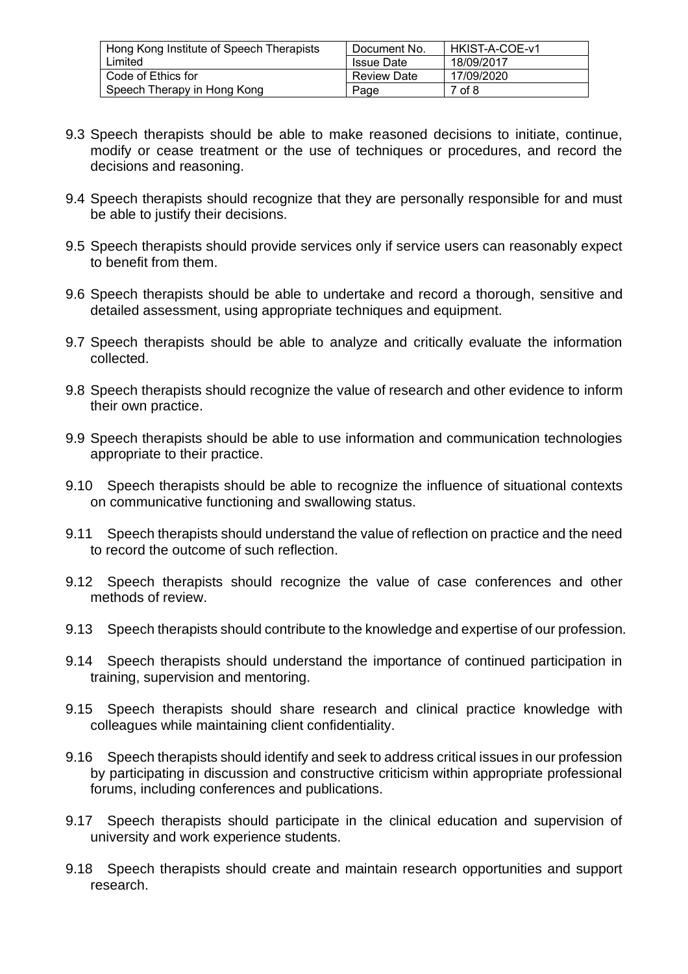| Hong Kong Institute of Speech Therapists | Document No.       | HKIST-A-COE-v1 |
|------------------------------------------|--------------------|----------------|
| Limited                                  | <b>Issue Date</b>  | 18/09/2017     |
| Code of Ethics for                       | <b>Review Date</b> | 17/09/2020     |
| Speech Therapy in Hong Kong              | Page               | 7 of 8         |

- 9.3 Speech therapists should be able to make reasoned decisions to initiate, continue, modify or cease treatment or the use of techniques or procedures, and record the decisions and reasoning.
- 9.4 Speech therapists should recognize that they are personally responsible for and must be able to justify their decisions.
- 9.5 Speech therapists should provide services only if service users can reasonably expect to benefit from them.
- 9.6 Speech therapists should be able to undertake and record a thorough, sensitive and detailed assessment, using appropriate techniques and equipment.
- 9.7 Speech therapists should be able to analyze and critically evaluate the information collected.
- 9.8 Speech therapists should recognize the value of research and other evidence to inform their own practice.
- 9.9 Speech therapists should be able to use information and communication technologies appropriate to their practice.
- 9.10 Speech therapists should be able to recognize the influence of situational contexts on communicative functioning and swallowing status.
- 9.11 Speech therapists should understand the value of reflection on practice and the need to record the outcome of such reflection.
- 9.12 Speech therapists should recognize the value of case conferences and other methods of review.
- 9.13 Speech therapists should contribute to the knowledge and expertise of our profession.
- 9.14 Speech therapists should understand the importance of continued participation in training, supervision and mentoring.
- 9.15 Speech therapists should share research and clinical practice knowledge with colleagues while maintaining client confidentiality.
- 9.16 Speech therapists should identify and seek to address critical issues in our profession by participating in discussion and constructive criticism within appropriate professional forums, including conferences and publications.
- 9.17 Speech therapists should participate in the clinical education and supervision of university and work experience students.
- 9.18 Speech therapists should create and maintain research opportunities and support research.